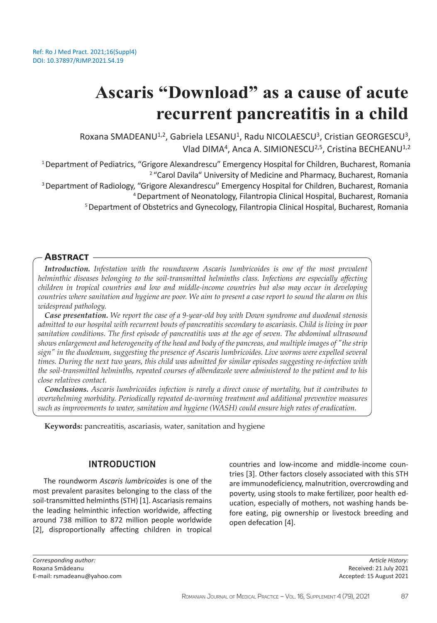# **Ascaris "Download" as a cause of acute recurrent pancreatitis in a child**

Roxana SMADEANU<sup>1,2</sup>, Gabriela LESANU<sup>1</sup>, Radu NICOLAESCU<sup>3</sup>, Cristian GEORGESCU<sup>3</sup>, Vlad DIMA<sup>4</sup>, Anca A. SIMIONESCU<sup>2,5</sup>, Cristina BECHEANU<sup>1,2</sup>

<sup>1</sup> Department of Pediatrics, "Grigore Alexandrescu" Emergency Hospital for Children, Bucharest, Romania <sup>2</sup> "Carol Davila" University of Medicine and Pharmacy, Bucharest, Romania <sup>3</sup> Department of Radiology, "Grigore Alexandrescu" Emergency Hospital for Children, Bucharest, Romania <sup>4</sup>Department of Neonatology, Filantropia Clinical Hospital, Bucharest, Romania <sup>5</sup>Department of Obstetrics and Gynecology, Filantropia Clinical Hospital, Bucharest, Romania

# **Abstract**

*Introduction. Infestation with the roundworm Ascaris lumbricoides is one of the most prevalent helminthic diseases belonging to the soil-transmitted helminths class. Infections are especially affecting children in tropical countries and low and middle-income countries but also may occur in developing countries where sanitation and hygiene are poor. We aim to present a case report to sound the alarm on this widespread pathology.* 

*Case presentation. We report the case of a 9-year-old boy with Down syndrome and duodenal stenosis admitted to our hospital with recurrent bouts of pancreatitis secondary to ascariasis. Child is living in poor sanitation conditions. The first episode of pancreatitis was at the age of seven. The abdominal ultrasound shows enlargement and heterogeneity of the head and body of the pancreas, and multiple images of "the strip sign" in the duodenum, suggesting the presence of Ascaris lumbricoides. Live worms were expelled several times. During the next two years, this child was admitted for similar episodes suggesting re-infection with the soil-transmitted helminths, repeated courses of albendazole were administered to the patient and to his close relatives contact.* 

*Conclusions. Ascaris lumbricoides infection is rarely a direct cause of mortality, but it contributes to overwhelming morbidity. Periodically repeated de-worming treatment and additional preventive measures such as improvements to water, sanitation and hygiene (WASH) could ensure high rates of eradication.* 

**Keywords:** pancreatitis, ascariasis, water, sanitation and hygiene

## **INTRODUCTION**

The roundworm *Ascaris lumbricoides* is one of the most prevalent parasites belonging to the class of the soil-transmitted helminths (STH) [1]. Ascariasis remains the leading helminthic infection worldwide, affecting around 738 million to 872 million people worldwide [2], disproportionally affecting children in tropical countries and low-income and middle-income countries [3]. Other factors closely associated with this STH are immunodeficiency, malnutrition, overcrowding and poverty, using stools to make fertilizer, poor health education, especially of mothers, not washing hands before eating, pig ownership or livestock breeding and open defecation [4].

*Corresponding author:*  Roxana Smădeanu E-mail: rsmadeanu@yahoo.com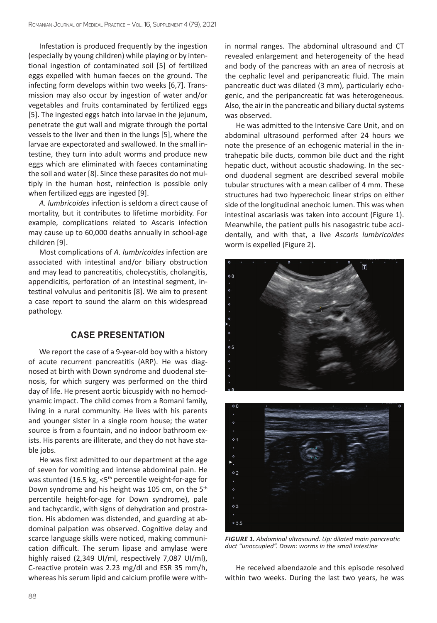Infestation is produced frequently by the ingestion (especially by young children) while playing or by intentional ingestion of contaminated soil [5] of fertilized eggs expelled with human faeces on the ground. The infecting form develops within two weeks [6,7]. Transmission may also occur by ingestion of water and/or vegetables and fruits contaminated by fertilized eggs [5]. The ingested eggs hatch into larvae in the jejunum, penetrate the gut wall and migrate through the portal vessels to the liver and then in the lungs [5], where the larvae are expectorated and swallowed. In the small intestine, they turn into adult worms and produce new eggs which are eliminated with faeces contaminating the soil and water [8]. Since these parasites do not multiply in the human host, reinfection is possible only when fertilized eggs are ingested [9].

*A. lumbricoides* infection is seldom a direct cause of mortality, but it contributes to lifetime morbidity. For example, complications related to Ascaris infection may cause up to 60,000 deaths annually in school-age children [9].

Most complications of *A. lumbricoides* infection are associated with intestinal and/or biliary obstruction and may lead to pancreatitis, cholecystitis, cholangitis, appendicitis, perforation of an intestinal segment, intestinal volvulus and peritonitis [8]. We aim to present a case report to sound the alarm on this widespread pathology.

# **CASE PRESENTATION**

We report the case of a 9-year-old boy with a history of acute recurrent pancreatitis (ARP). He was diagnosed at birth with Down syndrome and duodenal stenosis, for which surgery was performed on the third day of life. He present aortic bicuspidy with no hemodynamic impact. The child comes from a Romani family, living in a rural community. He lives with his parents and younger sister in a single room house; the water source is from a fountain, and no indoor bathroom exists. His parents are illiterate, and they do not have stable jobs.

He was first admitted to our department at the age of seven for vomiting and intense abdominal pain. He was stunted (16.5 kg, <5<sup>th</sup> percentile weight-for-age for Down syndrome and his height was 105 cm, on the 5<sup>th</sup> percentile height-for-age for Down syndrome), pale and tachycardic, with signs of dehydration and prostration. His abdomen was distended, and guarding at abdominal palpation was observed. Cognitive delay and scarce language skills were noticed, making communication difficult. The serum lipase and amylase were highly raised (2,349 UI/ml, respectively 7,087 UI/ml), C-reactive protein was 2.23 mg/dl and ESR 35 mm/h, whereas his serum lipid and calcium profile were within normal ranges. The abdominal ultrasound and CT revealed enlargement and heterogeneity of the head and body of the pancreas with an area of necrosis at the cephalic level and peripancreatic fluid. The main pancreatic duct was dilated (3 mm), particularly echogenic, and the peripancreatic fat was heterogeneous. Also, the air in the pancreatic and biliary ductal systems was observed.

He was admitted to the Intensive Care Unit, and on abdominal ultrasound performed after 24 hours we note the presence of an echogenic material in the intrahepatic bile ducts, common bile duct and the right hepatic duct, without acoustic shadowing. In the second duodenal segment are described several mobile tubular structures with a mean caliber of 4 mm. These structures had two hyperechoic linear strips on either side of the longitudinal anechoic lumen. This was when intestinal ascariasis was taken into account (Figure 1). Meanwhile, the patient pulls his nasogastric tube accidentally, and with that, a live *Ascaris lumbricoides* worm is expelled (Figure 2).





*FIGURE 1. Abdominal ultrasound. Up: dilated main pancreatic duct "unoccupied". Down: worms in the small intestine*

He received albendazole and this episode resolved within two weeks. During the last two years, he was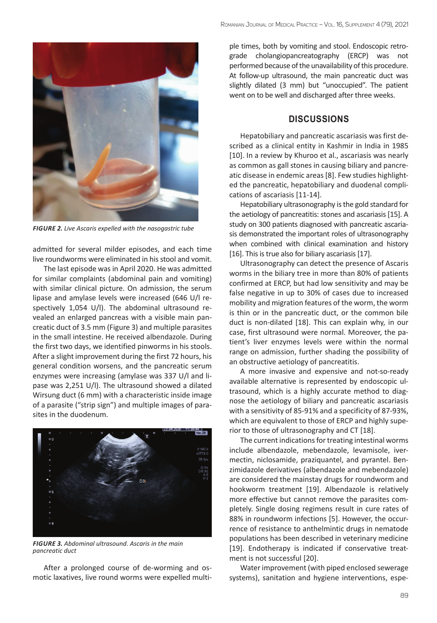

*FIGURE 2. Live Ascaris expelled with the nasogastric tube*

admitted for several milder episodes, and each time live roundworms were eliminated in his stool and vomit.

The last episode was in April 2020. He was admitted for similar complaints (abdominal pain and vomiting) with similar clinical picture. On admission, the serum lipase and amylase levels were increased (646 U/l respectively 1,054 U/l). The abdominal ultrasound revealed an enlarged pancreas with a visible main pancreatic duct of 3.5 mm (Figure 3) and multiple parasites in the small intestine. He received albendazole. During the first two days, we identified pinworms in his stools. After a slight improvement during the first 72 hours, his general condition worsens, and the pancreatic serum enzymes were increasing (amylase was 337 U/l and lipase was 2,251 U/l). The ultrasound showed a dilated Wirsung duct (6 mm) with a characteristic inside image of a parasite ("strip sign") and multiple images of parasites in the duodenum.



*FIGURE 3. Abdominal ultrasound. Ascaris in the main pancreatic duct*

After a prolonged course of de-worming and osmotic laxatives, live round worms were expelled multiple times, both by vomiting and stool. Endoscopic retrograde cholangiopancreatography (ERCP) was not performed because of the unavailability of this procedure. At follow-up ultrasound, the main pancreatic duct was slightly dilated (3 mm) but "unoccupied". The patient went on to be well and discharged after three weeks.

### **DISCUSSIONS**

Hepatobiliary and pancreatic ascariasis was first described as a clinical entity in Kashmir in India in 1985 [10]. In a review by Khuroo et al., ascariasis was nearly as common as gall stones in causing biliary and pancreatic disease in endemic areas [8]. Few studies highlighted the pancreatic, hepatobiliary and duodenal complications of ascariasis [11-14].

Hepatobiliary ultrasonography is the gold standard for the aetiology of pancreatitis: stones and ascariasis [15]. A study on 300 patients diagnosed with pancreatic ascariasis demonstrated the important roles of ultrasonography when combined with clinical examination and history [16]. This is true also for biliary ascariasis [17].

Ultrasonography can detect the presence of Ascaris worms in the biliary tree in more than 80% of patients confirmed at ERCP, but had low sensitivity and may be false negative in up to 30% of cases due to increased mobility and migration features of the worm, the worm is thin or in the pancreatic duct, or the common bile duct is non-dilated [18]. This can explain why, in our case, first ultrasound were normal. Moreover, the patient's liver enzymes levels were within the normal range on admission, further shading the possibility of an obstructive aetiology of pancreatitis.

A more invasive and expensive and not-so-ready available alternative is represented by endoscopic ultrasound, which is a highly accurate method to diagnose the aetiology of biliary and pancreatic ascariasis with a sensitivity of 85-91% and a specificity of 87-93%, which are equivalent to those of ERCP and highly superior to those of ultrasonography and CT [18].

The current indications for treating intestinal worms include albendazole, mebendazole, levamisole, ivermectin, niclosamide, praziquantel, and pyrantel. Benzimidazole derivatives (albendazole and mebendazole) are considered the mainstay drugs for roundworm and hookworm treatment [19]. Albendazole is relatively more effective but cannot remove the parasites completely. Single dosing regimens result in cure rates of 88% in roundworm infections [5]. However, the occurrence of resistance to anthelmintic drugs in nematode populations has been described in veterinary medicine [19]. Endotherapy is indicated if conservative treatment is not successful [20].

Water improvement (with piped enclosed sewerage systems), sanitation and hygiene interventions, espe